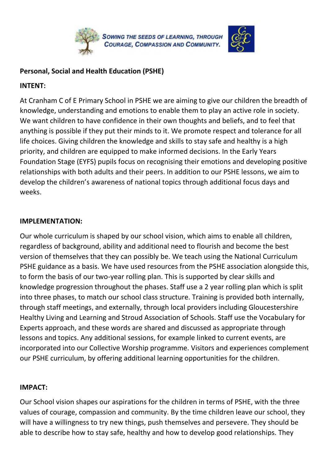



## **Personal, Social and Health Education (PSHE)**

## **INTENT:**

At Cranham C of E Primary School in PSHE we are aiming to give our children the breadth of knowledge, understanding and emotions to enable them to play an active role in society. We want children to have confidence in their own thoughts and beliefs, and to feel that anything is possible if they put their minds to it. We promote respect and tolerance for all life choices. Giving children the knowledge and skills to stay safe and healthy is a high priority, and children are equipped to make informed decisions. In the Early Years Foundation Stage (EYFS) pupils focus on recognising their emotions and developing positive relationships with both adults and their peers. In addition to our PSHE lessons, we aim to develop the children's awareness of national topics through additional focus days and weeks.

## **IMPLEMENTATION:**

Our whole curriculum is shaped by our school vision, which aims to enable all children, regardless of background, ability and additional need to flourish and become the best version of themselves that they can possibly be. We teach using the National Curriculum PSHE guidance as a basis. We have used resources from the PSHE association alongside this, to form the basis of our two-year rolling plan. This is supported by clear skills and knowledge progression throughout the phases. Staff use a 2 year rolling plan which is split into three phases, to match our school class structure. Training is provided both internally, through staff meetings, and externally, through local providers including Gloucestershire Healthy Living and Learning and Stroud Association of Schools. Staff use the Vocabulary for Experts approach, and these words are shared and discussed as appropriate through lessons and topics. Any additional sessions, for example linked to current events, are incorporated into our Collective Worship programme. Visitors and experiences complement our PSHE curriculum, by offering additional learning opportunities for the children.

## **IMPACT:**

Our School vision shapes our aspirations for the children in terms of PSHE, with the three values of courage, compassion and community. By the time children leave our school, they will have a willingness to try new things, push themselves and persevere. They should be able to describe how to stay safe, healthy and how to develop good relationships. They